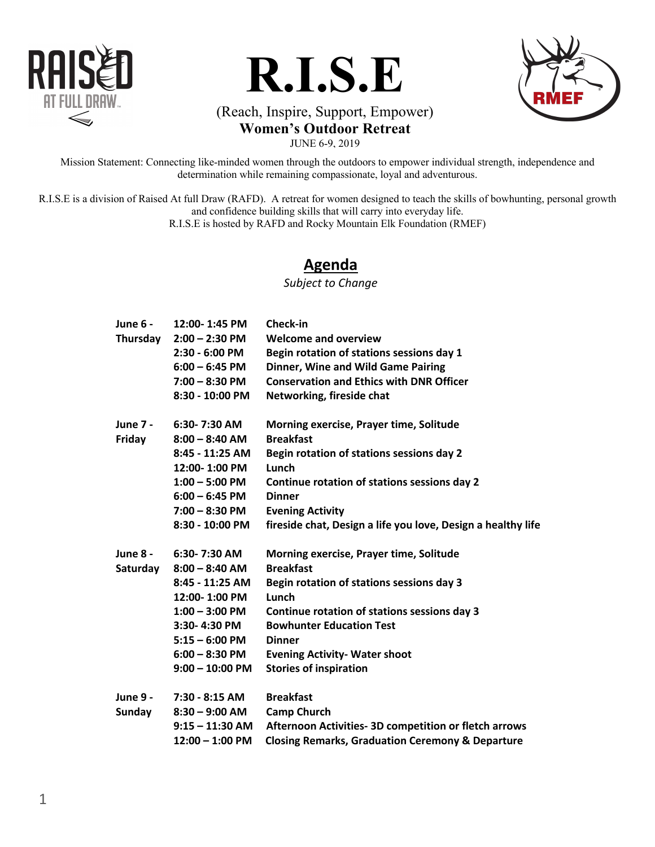





# (Reach, Inspire, Support, Empower)

**Women's Outdoor Retreat**

JUNE 6-9, 2019

Mission Statement: Connecting like-minded women through the outdoors to empower individual strength, independence and determination while remaining compassionate, loyal and adventurous.

R.I.S.E is a division of Raised At full Draw (RAFD). A retreat for women designed to teach the skills of bowhunting, personal growth and confidence building skills that will carry into everyday life.

R.I.S.E is hosted by RAFD and Rocky Mountain Elk Foundation (RMEF)

### **Agenda**

*Subject to Change*

| June 6 -<br>Thursday             | 12:00-1:45 PM<br>$2:00 - 2:30$ PM<br>2:30 - 6:00 PM<br>$6:00 - 6:45$ PM<br>$7:00 - 8:30$ PM<br>8:30 - 10:00 PM                                                        | Check-in<br><b>Welcome and overview</b><br>Begin rotation of stations sessions day 1<br><b>Dinner, Wine and Wild Game Pairing</b><br><b>Conservation and Ethics with DNR Officer</b><br>Networking, fireside chat                                                                              |
|----------------------------------|-----------------------------------------------------------------------------------------------------------------------------------------------------------------------|------------------------------------------------------------------------------------------------------------------------------------------------------------------------------------------------------------------------------------------------------------------------------------------------|
| <b>June 7 -</b><br>Friday        | 6:30-7:30 AM<br>$8:00 - 8:40$ AM<br>8:45 - 11:25 AM<br>12:00-1:00 PM<br>$1:00 - 5:00$ PM<br>$6:00 - 6:45$ PM<br>$7:00 - 8:30$ PM<br>8:30 - 10:00 PM                   | Morning exercise, Prayer time, Solitude<br><b>Breakfast</b><br>Begin rotation of stations sessions day 2<br>Lunch<br>Continue rotation of stations sessions day 2<br><b>Dinner</b><br><b>Evening Activity</b><br>fireside chat, Design a life you love, Design a healthy life                  |
| <b>June 8 -</b><br>Saturday      | 6:30-7:30 AM<br>$8:00 - 8:40$ AM<br>8:45 - 11:25 AM<br>12:00-1:00 PM<br>$1:00 - 3:00$ PM<br>3:30-4:30 PM<br>$5:15 - 6:00$ PM<br>$6:00 - 8:30$ PM<br>$9:00 - 10:00$ PM | Morning exercise, Prayer time, Solitude<br><b>Breakfast</b><br>Begin rotation of stations sessions day 3<br>Lunch<br>Continue rotation of stations sessions day 3<br><b>Bowhunter Education Test</b><br><b>Dinner</b><br><b>Evening Activity- Water shoot</b><br><b>Stories of inspiration</b> |
| <b>June 9 -</b><br><b>Sunday</b> | 7:30 - 8:15 AM<br>$8:30 - 9:00$ AM<br>$9:15 - 11:30$ AM<br>$12:00 - 1:00$ PM                                                                                          | <b>Breakfast</b><br><b>Camp Church</b><br>Afternoon Activities- 3D competition or fletch arrows<br><b>Closing Remarks, Graduation Ceremony &amp; Departure</b>                                                                                                                                 |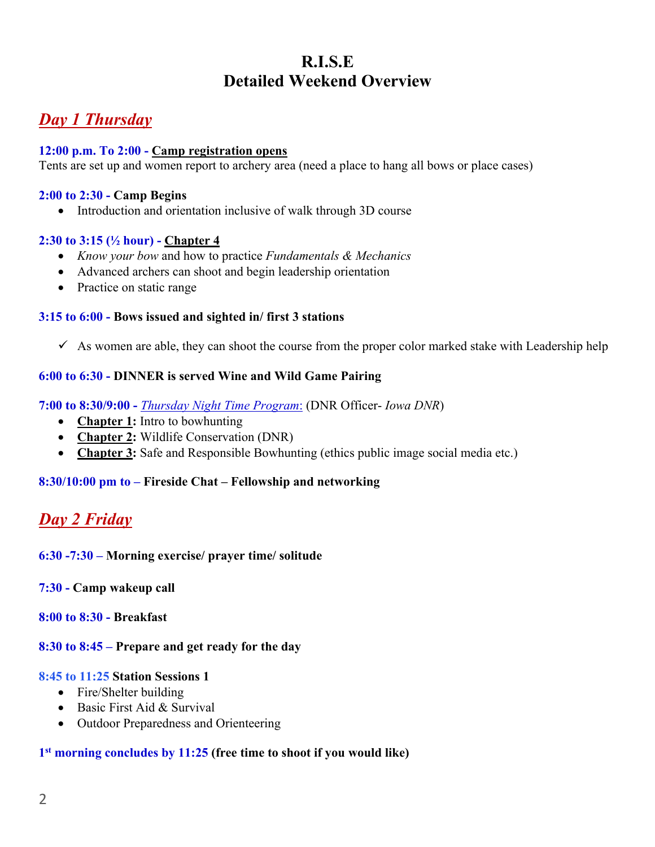# **R.I.S.E Detailed Weekend Overview**

# *Day 1 Thursday*

#### **12:00 p.m. To 2:00 - Camp registration opens**

Tents are set up and women report to archery area (need a place to hang all bows or place cases)

#### **2:00 to 2:30 - Camp Begins**

• Introduction and orientation inclusive of walk through 3D course

#### **2:30 to 3:15 (½ hour) - Chapter 4**

- *Know your bow* and how to practice *Fundamentals & Mechanics*
- Advanced archers can shoot and begin leadership orientation
- Practice on static range

#### **3:15 to 6:00 - Bows issued and sighted in/ first 3 stations**

 $\checkmark$  As women are able, they can shoot the course from the proper color marked stake with Leadership help

#### **6:00 to 6:30 - DINNER is served Wine and Wild Game Pairing**

**7:00 to 8:30/9:00 -** *Thursday Night Time Program*: (DNR Officer- *Iowa DNR*)

- **Chapter 1:** Intro to bowhunting
- **Chapter 2:** Wildlife Conservation (DNR)
- **Chapter 3:** Safe and Responsible Bowhunting (ethics public image social media etc.)

#### **8:30/10:00 pm to – Fireside Chat – Fellowship and networking**

# *Day 2 Friday*

#### **6:30 -7:30 – Morning exercise/ prayer time/ solitude**

#### **7:30 - Camp wakeup call**

#### **8:00 to 8:30 - Breakfast**

#### **8:30 to 8:45 – Prepare and get ready for the day**

#### **8:45 to 11:25 Station Sessions 1**

- Fire/Shelter building
- Basic First Aid & Survival
- Outdoor Preparedness and Orienteering

#### **1st morning concludes by 11:25 (free time to shoot if you would like)**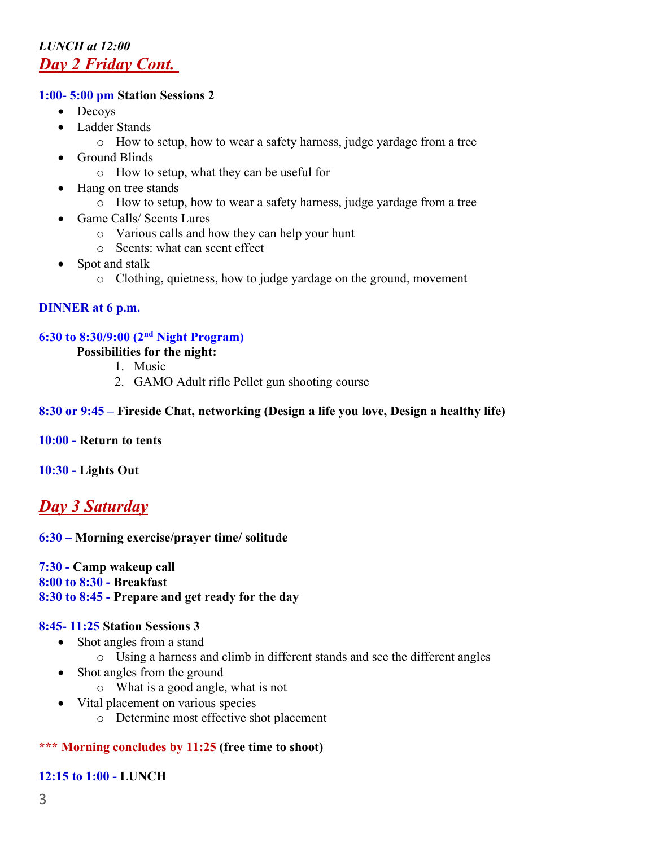### *LUNCH at 12:00 Day 2 Friday Cont.*

#### **1:00- 5:00 pm Station Sessions 2**

- Decoys
- Ladder Stands
	- o How to setup, how to wear a safety harness, judge yardage from a tree
- Ground Blinds
	- o How to setup, what they can be useful for
- Hang on tree stands
	- o How to setup, how to wear a safety harness, judge yardage from a tree
- Game Calls/ Scents Lures
	- o Various calls and how they can help your hunt
	- o Scents: what can scent effect
- Spot and stalk
	- o Clothing, quietness, how to judge yardage on the ground, movement

#### **DINNER at 6 p.m.**

#### **6:30 to 8:30/9:00 (2nd Night Program)**

#### **Possibilities for the night:**

- 1. Music
- 2. GAMO Adult rifle Pellet gun shooting course

#### **8:30 or 9:45 – Fireside Chat, networking (Design a life you love, Design a healthy life)**

#### **10:00 - Return to tents**

#### **10:30 - Lights Out**

### *Day 3 Saturday*

#### **6:30 – Morning exercise/prayer time/ solitude**

**7:30 - Camp wakeup call 8:00 to 8:30 - Breakfast 8:30 to 8:45 - Prepare and get ready for the day** 

#### **8:45- 11:25 Station Sessions 3**

- Shot angles from a stand
	- o Using a harness and climb in different stands and see the different angles
- Shot angles from the ground
	- o What is a good angle, what is not
- Vital placement on various species
	- o Determine most effective shot placement

#### **\*\*\* Morning concludes by 11:25 (free time to shoot)**

#### **12:15 to 1:00 - LUNCH**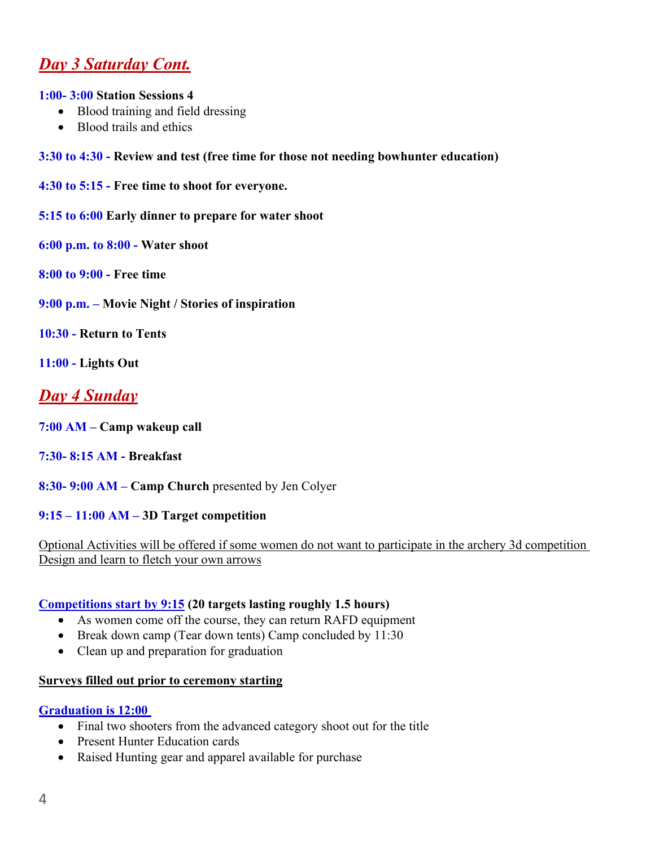# *Day 3 Saturday Cont.*

#### **1:00- 3:00 Station Sessions 4**

- Blood training and field dressing
- Blood trails and ethics
- **3:30 to 4:30 - Review and test (free time for those not needing bowhunter education)**
- **4:30 to 5:15 - Free time to shoot for everyone.**
- **5:15 to 6:00 Early dinner to prepare for water shoot**
- **6:00 p.m. to 8:00 - Water shoot**
- **8:00 to 9:00 - Free time**
- **9:00 p.m. – Movie Night / Stories of inspiration**
- **10:30 - Return to Tents**
- **11:00 - Lights Out**

## *Day 4 Sunday*

- **7:00 AM – Camp wakeup call**
- **7:30- 8:15 AM - Breakfast**
- **8:30- 9:00 AM – Camp Church** presented by Jen Colyer

#### **9:15 – 11:00 AM – 3D Target competition**

#### Optional Activities will be offered if some women do not want to participate in the archery 3d competition Design and learn to fletch your own arrows

#### **Competitions start by 9:15 (20 targets lasting roughly 1.5 hours)**

- As women come off the course, they can return RAFD equipment
- Break down camp (Tear down tents) Camp concluded by 11:30
- Clean up and preparation for graduation

#### **Surveys filled out prior to ceremony starting**

#### **Graduation is 12:00**

- Final two shooters from the advanced category shoot out for the title
- Present Hunter Education cards
- Raised Hunting gear and apparel available for purchase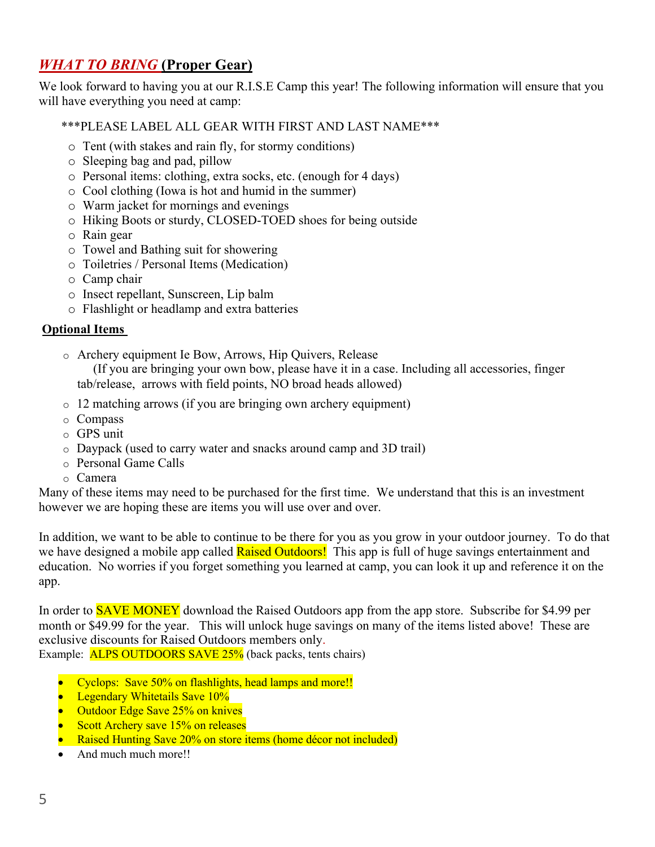### *WHAT TO BRING* **(Proper Gear)**

We look forward to having you at our R.I.S.E Camp this year! The following information will ensure that you will have everything you need at camp:

#### \*\*\*PLEASE LABEL ALL GEAR WITH FIRST AND LAST NAME\*\*\*

- o Tent (with stakes and rain fly, for stormy conditions)
- o Sleeping bag and pad, pillow
- o Personal items: clothing, extra socks, etc. (enough for 4 days)
- o Cool clothing (Iowa is hot and humid in the summer)
- o Warm jacket for mornings and evenings
- o Hiking Boots or sturdy, CLOSED-TOED shoes for being outside
- o Rain gear
- o Towel and Bathing suit for showering
- o Toiletries / Personal Items (Medication)
- o Camp chair
- o Insect repellant, Sunscreen, Lip balm
- o Flashlight or headlamp and extra batteries

#### **Optional Items**

o Archery equipment Ie Bow, Arrows, Hip Quivers, Release

 (If you are bringing your own bow, please have it in a case. Including all accessories, finger tab/release, arrows with field points, NO broad heads allowed)

- o 12 matching arrows (if you are bringing own archery equipment)
- o Compass
- o GPS unit
- o Daypack (used to carry water and snacks around camp and 3D trail)
- o Personal Game Calls
- o Camera

Many of these items may need to be purchased for the first time. We understand that this is an investment however we are hoping these are items you will use over and over.

In addition, we want to be able to continue to be there for you as you grow in your outdoor journey. To do that we have designed a mobile app called **Raised Outdoors!** This app is full of huge savings entertainment and education. No worries if you forget something you learned at camp, you can look it up and reference it on the app.

In order to **SAVE MONEY** download the Raised Outdoors app from the app store. Subscribe for \$4.99 per month or \$49.99 for the year. This will unlock huge savings on many of the items listed above! These are exclusive discounts for Raised Outdoors members only.

Example: **ALPS OUTDOORS SAVE 25%** (back packs, tents chairs)

- Cyclops: Save 50% on flashlights, head lamps and more!!
- Legendary Whitetails Save 10%
- Outdoor Edge Save 25% on knives
- Scott Archery save 15% on releases
- Raised Hunting Save 20% on store items (home décor not included)
- And much much more!!